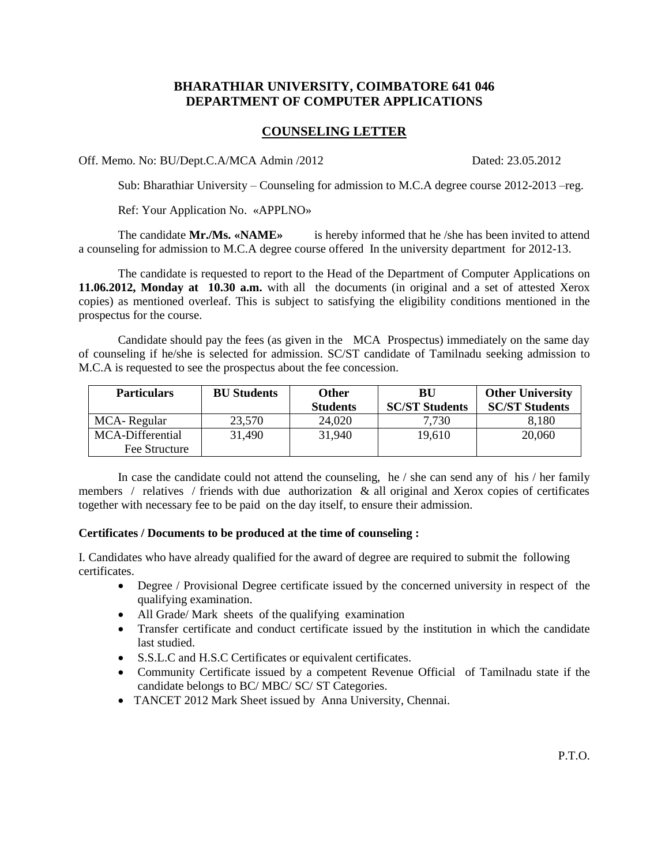## **BHARATHIAR UNIVERSITY, COIMBATORE 641 046 DEPARTMENT OF COMPUTER APPLICATIONS**

## **COUNSELING LETTER**

Off. Memo. No: BU/Dept.C.A/MCA Admin /2012 Dated: 23.05.2012

Sub: Bharathiar University – Counseling for admission to M.C.A degree course 2012-2013 –reg.

Ref: Your Application No. «APPLNO»

The candidate **Mr./Ms. «NAME»** is hereby informed that he /she has been invited to attend a counseling for admission to M.C.A degree course offered In the university department for 2012-13.

The candidate is requested to report to the Head of the Department of Computer Applications on **11.06.2012, Monday at 10.30 a.m.** with all the documents (in original and a set of attested Xerox copies) as mentioned overleaf. This is subject to satisfying the eligibility conditions mentioned in the prospectus for the course.

Candidate should pay the fees (as given in the MCA Prospectus) immediately on the same day of counseling if he/she is selected for admission. SC/ST candidate of Tamilnadu seeking admission to M.C.A is requested to see the prospectus about the fee concession.

| <b>Particulars</b>                | <b>BU</b> Students | Other<br><b>Students</b> | BU<br><b>SC/ST Students</b> | <b>Other University</b><br><b>SC/ST Students</b> |
|-----------------------------------|--------------------|--------------------------|-----------------------------|--------------------------------------------------|
| MCA-Regular                       | 23,570             | 24,020                   | 7,730                       | 8,180                                            |
| MCA-Differential<br>Fee Structure | 31,490             | 31,940                   | 19,610                      | 20,060                                           |

In case the candidate could not attend the counseling, he / she can send any of his / her family members / relatives / friends with due authorization & all original and Xerox copies of certificates together with necessary fee to be paid on the day itself, to ensure their admission.

## **Certificates / Documents to be produced at the time of counseling :**

I. Candidates who have already qualified for the award of degree are required to submit the following certificates.

- Degree / Provisional Degree certificate issued by the concerned university in respect of the qualifying examination.
- All Grade/ Mark sheets of the qualifying examination
- Transfer certificate and conduct certificate issued by the institution in which the candidate last studied.
- S.S.L.C and H.S.C Certificates or equivalent certificates.
- Community Certificate issued by a competent Revenue Official of Tamilnadu state if the candidate belongs to BC/ MBC/ SC/ ST Categories.
- TANCET 2012 Mark Sheet issued by Anna University, Chennai.